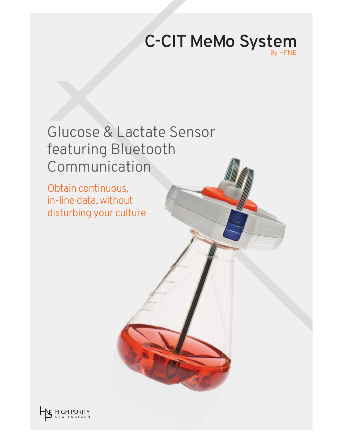# **C-CIT MeMo System**

# Glucose & Lactate Sensor featuring Bluetooth Communication

Obtain continuous, in-line data, without disturbing your culture